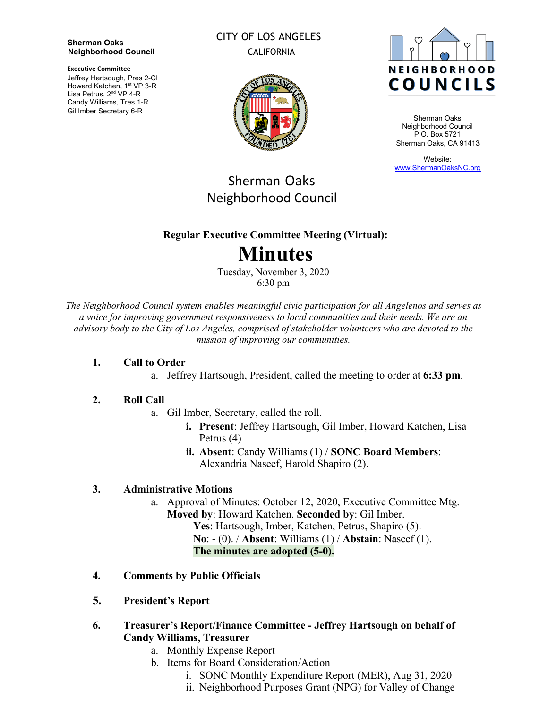#### **Sherman Oaks Neighborhood Council**

**Executive Committee**

Jeffrey Hartsough, Pres 2-CI Howard Katchen, 1<sup>st</sup> VP 3-R Lisa Petrus, 2<sup>nd</sup> VP 4-R Candy Williams, Tres 1-R Gil Imber Secretary 6-R

### CITY OF LOS ANGELES CALIFORNIA





Sherman Oaks Neighborhood Council P.O. Box 5721 Sherman Oaks, CA 91413

Website: [www.ShermanOaksNC.org](http://www.shermanoaksnc.org/)

## Sherman Oaks Neighborhood Council

### **Regular Executive Committee Meeting (Virtual):**

# **Minutes**

Tuesday, November 3, 2020 6:30 pm

*The Neighborhood Council system enables meaningful civic participation for all Angelenos and serves as a voice for improving government responsiveness to local communities and their needs. We are an advisory body to the City of Los Angeles, comprised of stakeholder volunteers who are devoted to the mission of improving our communities.*

#### **1. Call to Order**

a. Jeffrey Hartsough, President, called the meeting to order at **6:33 pm**.

#### **2. Roll Call**

- a. Gil Imber, Secretary, called the roll.
	- **i. Present**: Jeffrey Hartsough, Gil Imber, Howard Katchen, Lisa Petrus (4)
	- **ii. Absent**: Candy Williams (1) / **SONC Board Members**: Alexandria Naseef, Harold Shapiro (2).

#### **3. Administrative Motions**

- a. Approval of Minutes: October 12, 2020, Executive Committee Mtg. **Moved by**: Howard Katchen. **Seconded by**: Gil Imber.
	- **Yes**: Hartsough, Imber, Katchen, Petrus, Shapiro (5). **No**: - (0). / **Absent**: Williams (1) / **Abstain**: Naseef (1). **The minutes are adopted (5-0).**
- **4. Comments by Public Officials**
- **5. President's Report**
- **6. Treasurer's Report/Finance Committee Jeffrey Hartsough on behalf of Candy Williams, Treasurer**
	- a. Monthly Expense Report
	- b. Items for Board Consideration/Action
		- i. SONC Monthly Expenditure Report (MER), Aug 31, 2020
		- ii. Neighborhood Purposes Grant (NPG) for Valley of Change